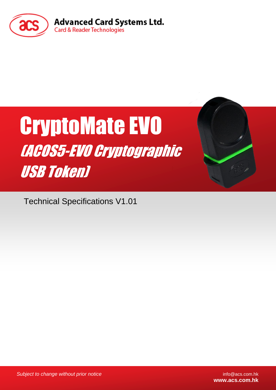

# CryptoMate EVO (ACOS5-EVO Cryptographic USB Token)

Technical Specifications V1.01

*Subject to change without prior notice* info@acs.com.hk

**www.acs.com.hk**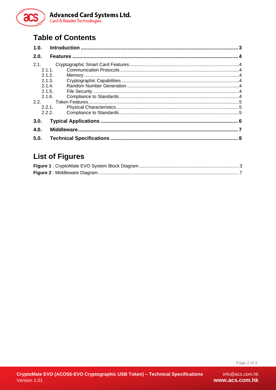

## **Table of Contents**

| 1.0.                                        |  |
|---------------------------------------------|--|
| 2.0.                                        |  |
| 2.1.<br>$2.1.1$ .<br>212<br>2.1.3.<br>2.1.4 |  |
| 2.1.5.<br>2.1.6.<br>2.2.<br>221<br>2.2.2.   |  |
| 3.0.<br>4.0.                                |  |
| 5.0.                                        |  |

## **List of Figures**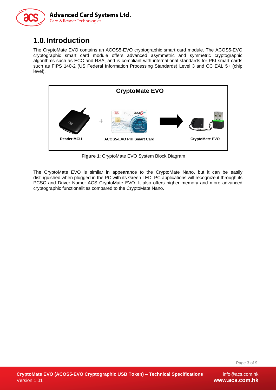

## <span id="page-2-0"></span>**1.0.Introduction**

The CryptoMate EVO contains an ACOS5-EVO cryptographic smart card module. The ACOS5-EVO cryptographic smart card module offers advanced asymmetric and symmetric cryptographic algorithms such as ECC and RSA, and is compliant with international standards for PKI smart cards such as FIPS 140-2 (US Federal Information Processing Standards) Level 3 and CC EAL 5+ (chip level).



**Figure 1**: CryptoMate EVO System Block Diagram

<span id="page-2-1"></span>The CryptoMate EVO is similar in appearance to the CryptoMate Nano, but it can be easily distinguished when plugged in the PC with its Green LED. PC applications will recognize it through its PCSC and Driver Name: ACS CryptoMate EVO. It also offers higher memory and more advanced cryptographic functionalities compared to the CryptoMate Nano.

Page 3 of 9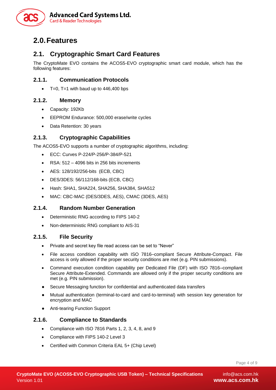

## <span id="page-3-0"></span>**2.0.Features**

## <span id="page-3-1"></span>**2.1. Cryptographic Smart Card Features**

The CryptoMate EVO contains the ACOS5-EVO cryptographic smart card module, which has the following features:

#### <span id="page-3-2"></span>**2.1.1. Communication Protocols**

 $T=0$ . T=1 with baud up to 446,400 bps

#### <span id="page-3-3"></span>**2.1.2. Memory**

- Capacity: 192Kb
- EEPROM Endurance: 500,000 erase/write cycles
- Data Retention: 30 years

#### <span id="page-3-4"></span>**2.1.3. Cryptographic Capabilities**

The ACOS5-EVO supports a number of cryptographic algorithms, including:

- ECC: Curves P-224/P-256/P-384/P-521
- RSA: 512 4096 bits in 256 bits increments
- AES: 128/192/256-bits (ECB, CBC)
- DES/3DES: 56/112/168-bits (ECB, CBC)
- Hash: SHA1, SHA224, SHA256, SHA384, SHA512
- MAC: CBC-MAC (DES/3DES, AES), CMAC (3DES, AES)

#### <span id="page-3-5"></span>**2.1.4. Random Number Generation**

- Deterministic RNG according to FIPS 140-2
- Non-deterministic RNG compliant to AIS-31

#### <span id="page-3-6"></span>**2.1.5. File Security**

- Private and secret key file read access can be set to "Never"
- File access condition capability with ISO 7816–compliant Secure Attribute-Compact. File access is only allowed if the proper security conditions are met (e.g. PIN submissions).
- Command execution condition capability per Dedicated File (DF) with ISO 7816–compliant Secure Attribute-Extended. Commands are allowed only if the proper security conditions are met (e.g. PIN submission).
- Secure Messaging function for confidential and authenticated data transfers
- Mutual authentication (terminal-to-card and card-to-terminal) with session key generation for encryption and MAC
- Anti-tearing Function Support

#### <span id="page-3-7"></span>**2.1.6. Compliance to Standards**

- Compliance with ISO 7816 Parts 1, 2, 3, 4, 8, and 9
- Compliance with FIPS 140-2 Level 3
- Certified with Common Criteria EAL 5+ (Chip Level)

Page 4 of 9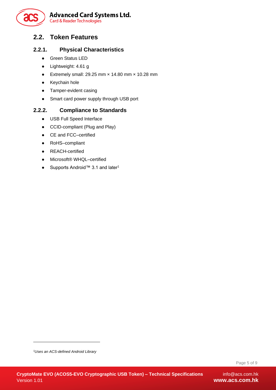

### <span id="page-4-0"></span>**2.2. Token Features**

#### <span id="page-4-1"></span>**2.2.1. Physical Characteristics**

- Green Status LED
- Lightweight: 4.61 g
- Extremely small: 29.25 mm  $\times$  14.80 mm  $\times$  10.28 mm
- Keychain hole
- Tamper-evident casing
- Smart card power supply through USB port

#### <span id="page-4-2"></span>**2.2.2. Compliance to Standards**

- USB Full Speed Interface
- CCID-compliant (Plug and Play)
- CE and FCC–certified
- RoHS–compliant
- REACH-certified
- Microsoft® WHQL–certified
- Supports Android™ 3.1 and later<sup>1</sup>

-

Page 5 of 9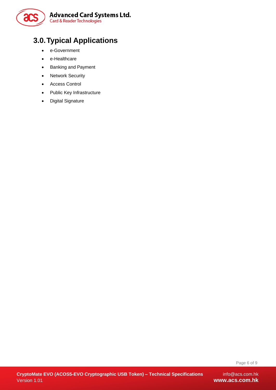

# <span id="page-5-0"></span>**3.0.Typical Applications**

- e-Government
- e-Healthcare
- Banking and Payment
- Network Security
- Access Control
- Public Key Infrastructure
- Digital Signature

 $info@acs.com.hk$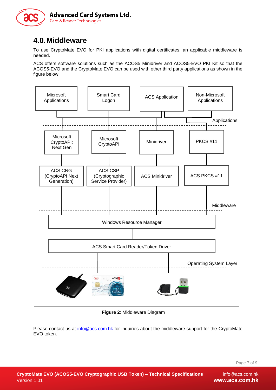

## <span id="page-6-0"></span>**4.0.Middleware**

To use CryptoMate EVO for PKI applications with digital certificates, an applicable middleware is needed.

ACS offers software solutions such as the ACOS5 Minidriver and ACOS5-EVO PKI Kit so that the ACOS5-EVO and the CryptoMate EVO can be used with other third party applications as shown in the figure below:



**Figure 2**: Middleware Diagram

<span id="page-6-1"></span>Please contact us at [info@acs.com.hk](mailto:info@acs.com.hk) for inquiries about the middleware support for the CryptoMate EVO token.

Page 7 of 9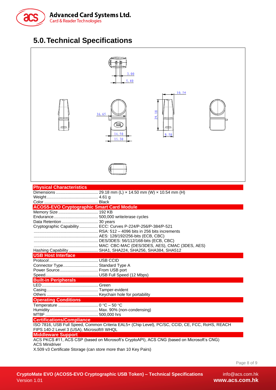

## <span id="page-7-0"></span>**5.0.Technical Specifications**



Page 8 of 9